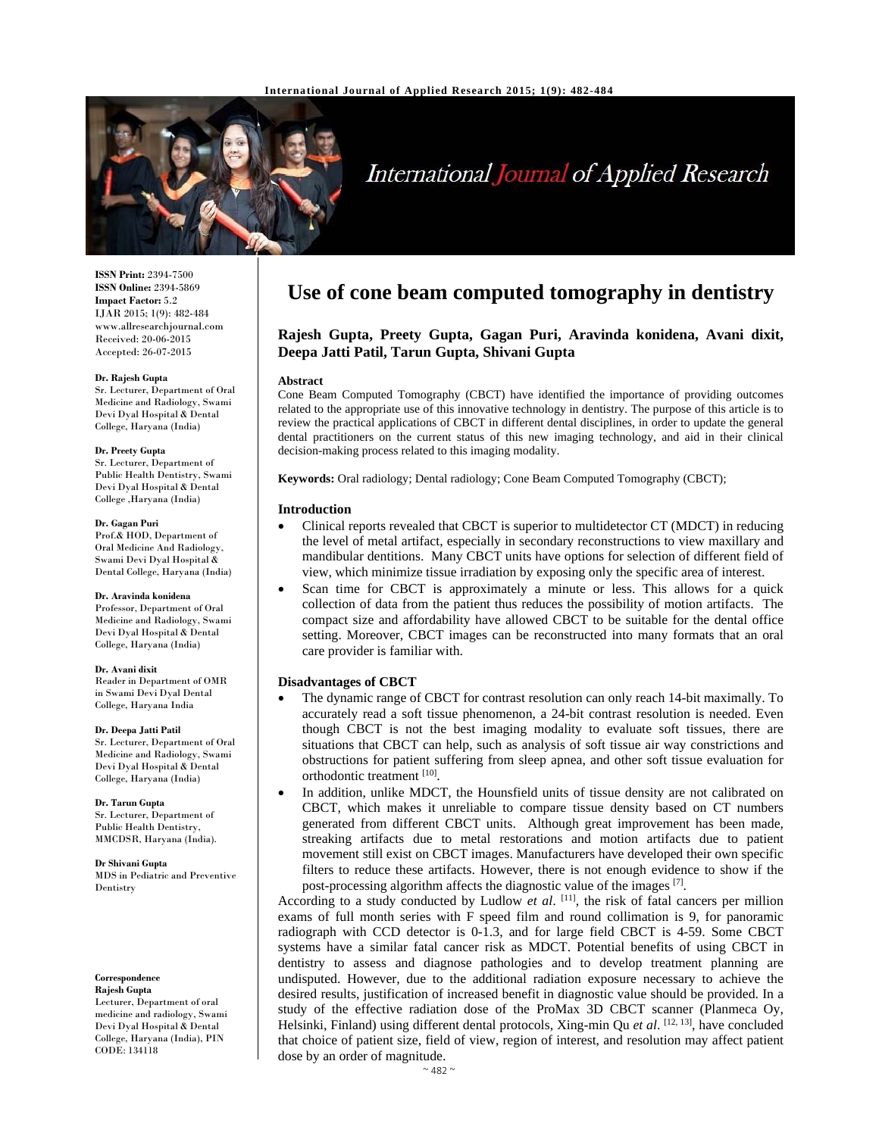

# **International Journal of Applied Research**

**ISSN Print:** 2394-7500 **ISSN Online:** 2394-5869 **Impact Factor:** 5.2 IJAR 2015; 1(9): 482-484 www.allresearchjournal.com Received: 20-06-2015 Accepted: 26-07-2015

#### **Dr. Rajesh Gupta**

Sr. Lecturer, Department of Oral Medicine and Radiology, Swami Devi Dyal Hospital & Dental College, Haryana (India)

#### **Dr. Preety Gupta**

Sr. Lecturer, Department of Public Health Dentistry, Swami Devi Dyal Hospital & Dental College ,Haryana (India)

#### **Dr. Gagan Puri**

Prof.& HOD, Department of Oral Medicine And Radiology, Swami Devi Dyal Hospital & Dental College, Haryana (India)

#### **Dr. Aravinda konidena**

Professor, Department of Oral Medicine and Radiology, Swami Devi Dyal Hospital & Dental College, Haryana (India)

#### **Dr. Avani dixit**

Reader in Department of OMR in Swami Devi Dyal Dental College, Haryana India

#### **Dr. Deepa Jatti Patil**

Sr. Lecturer, Department of Oral Medicine and Radiology, Swami Devi Dyal Hospital & Dental College, Haryana (India)

**Dr. Tarun Gupta** Sr. Lecturer, Department of Public Health Dentistry, MMCDSR, Haryana (India).

**Dr Shivani Gupta**  MDS in Pediatric and Preventive Dentistry

#### **Correspondence**

**Rajesh Gupta**  Lecturer, Department of oral medicine and radiology, Swami Devi Dyal Hospital & Dental College, Haryana (India), PIN CODE: 134118

## **Use of cone beam computed tomography in dentistry**

## **Rajesh Gupta, Preety Gupta, Gagan Puri, Aravinda konidena, Avani dixit, Deepa Jatti Patil, Tarun Gupta, Shivani Gupta**

#### **Abstract**

Cone Beam Computed Tomography (CBCT) have identified the importance of providing outcomes related to the appropriate use of this innovative technology in dentistry. The purpose of this article is to review the practical applications of CBCT in different dental disciplines, in order to update the general dental practitioners on the current status of this new imaging technology, and aid in their clinical decision-making process related to this imaging modality.

**Keywords:** Oral radiology; Dental radiology; Cone Beam Computed Tomography (CBCT);

#### **Introduction**

- Clinical reports revealed that CBCT is superior to multidetector CT (MDCT) in reducing the level of metal artifact, especially in secondary reconstructions to view maxillary and mandibular dentitions. Many CBCT units have options for selection of different field of view, which minimize tissue irradiation by exposing only the specific area of interest.
- Scan time for CBCT is approximately a minute or less. This allows for a quick collection of data from the patient thus reduces the possibility of motion artifacts. The compact size and affordability have allowed CBCT to be suitable for the dental office setting. Moreover, CBCT images can be reconstructed into many formats that an oral care provider is familiar with.

## **Disadvantages of CBCT**

- The dynamic range of CBCT for contrast resolution can only reach 14-bit maximally. To accurately read a soft tissue phenomenon, a 24-bit contrast resolution is needed. Even though CBCT is not the best imaging modality to evaluate soft tissues, there are situations that CBCT can help, such as analysis of soft tissue air way constrictions and obstructions for patient suffering from sleep apnea, and other soft tissue evaluation for orthodontic treatment [10].
- In addition, unlike MDCT, the Hounsfield units of tissue density are not calibrated on CBCT, which makes it unreliable to compare tissue density based on CT numbers generated from different CBCT units. Although great improvement has been made, streaking artifacts due to metal restorations and motion artifacts due to patient movement still exist on CBCT images. Manufacturers have developed their own specific filters to reduce these artifacts. However, there is not enough evidence to show if the post-processing algorithm affects the diagnostic value of the images [7].

According to a study conducted by Ludlow *et al.* [11], the risk of fatal cancers per million exams of full month series with F speed film and round collimation is 9, for panoramic radiograph with CCD detector is 0-1.3, and for large field CBCT is 4-59. Some CBCT systems have a similar fatal cancer risk as MDCT. Potential benefits of using CBCT in dentistry to assess and diagnose pathologies and to develop treatment planning are undisputed. However, due to the additional radiation exposure necessary to achieve the desired results, justification of increased benefit in diagnostic value should be provided. In a study of the effective radiation dose of the ProMax 3D CBCT scanner (Planmeca Oy, Helsinki, Finland) using different dental protocols, Xing-min Qu et al. [12, 13], have concluded that choice of patient size, field of view, region of interest, and resolution may affect patient dose by an order of magnitude.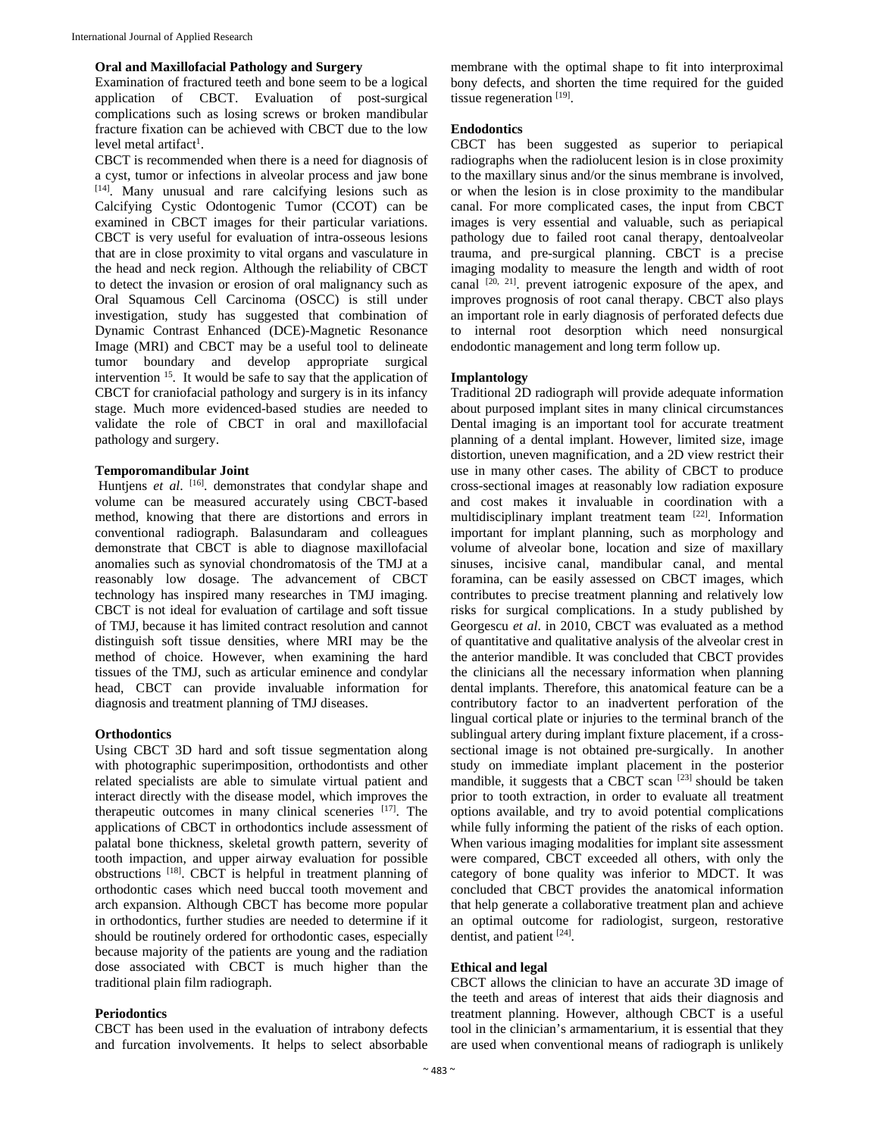#### **Oral and Maxillofacial Pathology and Surgery**

Examination of fractured teeth and bone seem to be a logical application of CBCT. Evaluation of post-surgical complications such as losing screws or broken mandibular fracture fixation can be achieved with CBCT due to the low level metal artifact<sup>1</sup>.

CBCT is recommended when there is a need for diagnosis of a cyst, tumor or infections in alveolar process and jaw bone [14]. Many unusual and rare calcifying lesions such as Calcifying Cystic Odontogenic Tumor (CCOT) can be examined in CBCT images for their particular variations. CBCT is very useful for evaluation of intra-osseous lesions that are in close proximity to vital organs and vasculature in the head and neck region. Although the reliability of CBCT to detect the invasion or erosion of oral malignancy such as Oral Squamous Cell Carcinoma (OSCC) is still under investigation, study has suggested that combination of Dynamic Contrast Enhanced (DCE)-Magnetic Resonance Image (MRI) and CBCT may be a useful tool to delineate tumor boundary and develop appropriate surgical intervention 15. It would be safe to say that the application of CBCT for craniofacial pathology and surgery is in its infancy stage. Much more evidenced-based studies are needed to validate the role of CBCT in oral and maxillofacial pathology and surgery.

#### **Temporomandibular Joint**

Huntjens *et al.* <sup>[16]</sup>. demonstrates that condylar shape and volume can be measured accurately using CBCT-based method, knowing that there are distortions and errors in conventional radiograph. Balasundaram and colleagues demonstrate that CBCT is able to diagnose maxillofacial anomalies such as synovial chondromatosis of the TMJ at a reasonably low dosage. The advancement of CBCT technology has inspired many researches in TMJ imaging. CBCT is not ideal for evaluation of cartilage and soft tissue of TMJ, because it has limited contract resolution and cannot distinguish soft tissue densities, where MRI may be the method of choice. However, when examining the hard tissues of the TMJ, such as articular eminence and condylar head, CBCT can provide invaluable information for diagnosis and treatment planning of TMJ diseases.

## **Orthodontics**

Using CBCT 3D hard and soft tissue segmentation along with photographic superimposition, orthodontists and other related specialists are able to simulate virtual patient and interact directly with the disease model, which improves the therapeutic outcomes in many clinical sceneries [17]. The applications of CBCT in orthodontics include assessment of palatal bone thickness, skeletal growth pattern, severity of tooth impaction, and upper airway evaluation for possible obstructions [18]. CBCT is helpful in treatment planning of orthodontic cases which need buccal tooth movement and arch expansion. Although CBCT has become more popular in orthodontics, further studies are needed to determine if it should be routinely ordered for orthodontic cases, especially because majority of the patients are young and the radiation dose associated with CBCT is much higher than the traditional plain film radiograph.

## **Periodontics**

CBCT has been used in the evaluation of intrabony defects and furcation involvements. It helps to select absorbable

membrane with the optimal shape to fit into interproximal bony defects, and shorten the time required for the guided tissue regeneration  $[19]$ .

## **Endodontics**

CBCT has been suggested as superior to periapical radiographs when the radiolucent lesion is in close proximity to the maxillary sinus and/or the sinus membrane is involved, or when the lesion is in close proximity to the mandibular canal. For more complicated cases, the input from CBCT images is very essential and valuable, such as periapical pathology due to failed root canal therapy, dentoalveolar trauma, and pre-surgical planning. CBCT is a precise imaging modality to measure the length and width of root canal  $[20, 21]$ . prevent iatrogenic exposure of the apex, and improves prognosis of root canal therapy. CBCT also plays an important role in early diagnosis of perforated defects due to internal root desorption which need nonsurgical endodontic management and long term follow up.

## **Implantology**

Traditional 2D radiograph will provide adequate information about purposed implant sites in many clinical circumstances Dental imaging is an important tool for accurate treatment planning of a dental implant. However, limited size, image distortion, uneven magnification, and a 2D view restrict their use in many other cases. The ability of CBCT to produce cross-sectional images at reasonably low radiation exposure and cost makes it invaluable in coordination with a multidisciplinary implant treatment team [22]. Information important for implant planning, such as morphology and volume of alveolar bone, location and size of maxillary sinuses, incisive canal, mandibular canal, and mental foramina, can be easily assessed on CBCT images, which contributes to precise treatment planning and relatively low risks for surgical complications. In a study published by Georgescu *et al*. in 2010, CBCT was evaluated as a method of quantitative and qualitative analysis of the alveolar crest in the anterior mandible. It was concluded that CBCT provides the clinicians all the necessary information when planning dental implants. Therefore, this anatomical feature can be a contributory factor to an inadvertent perforation of the lingual cortical plate or injuries to the terminal branch of the sublingual artery during implant fixture placement, if a crosssectional image is not obtained pre-surgically. In another study on immediate implant placement in the posterior mandible, it suggests that a CBCT scan [23] should be taken prior to tooth extraction, in order to evaluate all treatment options available, and try to avoid potential complications while fully informing the patient of the risks of each option. When various imaging modalities for implant site assessment were compared, CBCT exceeded all others, with only the category of bone quality was inferior to MDCT. It was concluded that CBCT provides the anatomical information that help generate a collaborative treatment plan and achieve an optimal outcome for radiologist, surgeon, restorative dentist, and patient [24].

#### **Ethical and legal**

CBCT allows the clinician to have an accurate 3D image of the teeth and areas of interest that aids their diagnosis and treatment planning. However, although CBCT is a useful tool in the clinician's armamentarium, it is essential that they are used when conventional means of radiograph is unlikely